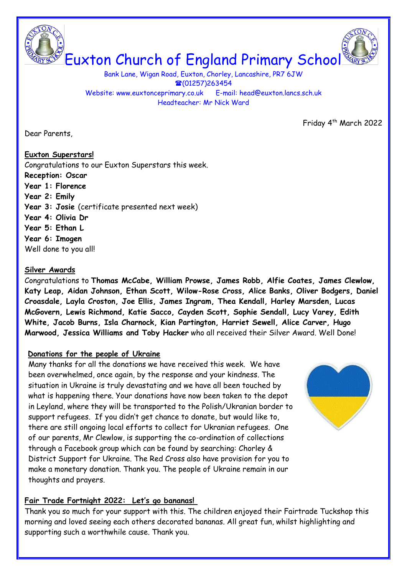Euxton Church of England Primary School

Bank Lane, Wigan Road, Euxton, Chorley, Lancashire, PR7 6JW  $\textcircled{1257}$ )263454 Website: www.euxtonceprimary.co.uk E-mail: [head@euxton.lancs.sch.uk](mailto:head@euxton.lancs.sch.uk) Headteacher: Mr Nick Ward

Friday 4<sup>th</sup> March 2022

Dear Parents,

**Euxton Superstars!** Congratulations to our Euxton Superstars this week. **Reception: Oscar Year 1: Florence Year 2: Emily Year 3: Josie** (certificate presented next week) **Year 4: Olivia Dr Year 5: Ethan L Year 6: Imogen**  Well done to you all!

#### **Silver Awards**

Congratulations to **Thomas McCabe, William Prowse, James Robb, Alfie Coates, James Clewlow, Katy Leap, Aidan Johnson, Ethan Scott, Wilow-Rose Cross, Alice Banks, Oliver Bodgers, Daniel Croasdale, Layla Croston, Joe Ellis, James Ingram, Thea Kendall, Harley Marsden, Lucas McGovern, Lewis Richmond, Katie Sacco, Cayden Scott, Sophie Sendall, Lucy Varey, Edith White, Jacob Burns, Isla Charnock, Kian Partington, Harriet Sewell, Alice Carver, Hugo Marwood, Jessica Williams and Toby Hacker** who all received their Silver Award. Well Done!

#### **Donations for the people of Ukraine**

Many thanks for all the donations we have received this week. We have been overwhelmed, once again, by the response and your kindness. The situation in Ukraine is truly devastating and we have all been touched by what is happening there. Your donations have now been taken to the depot in Leyland, where they will be transported to the Polish/Ukranian border to support refugees. If you didn't get chance to donate, but would like to, there are still ongoing local efforts to collect for Ukranian refugees. One of our parents, Mr Clewlow, is supporting the co-ordination of collections through a Facebook group which can be found by searching: Chorley & District Support for Ukraine. The Red Cross also have provision for you to make a monetary donation. Thank you. The people of Ukraine remain in our thoughts and prayers.

# **Fair Trade Fortnight 2022: Let's go bananas!**

Thank you so much for your support with this. The children enjoyed their Fairtrade Tuckshop this morning and loved seeing each others decorated bananas. All great fun, whilst highlighting and supporting such a worthwhile cause. Thank you.